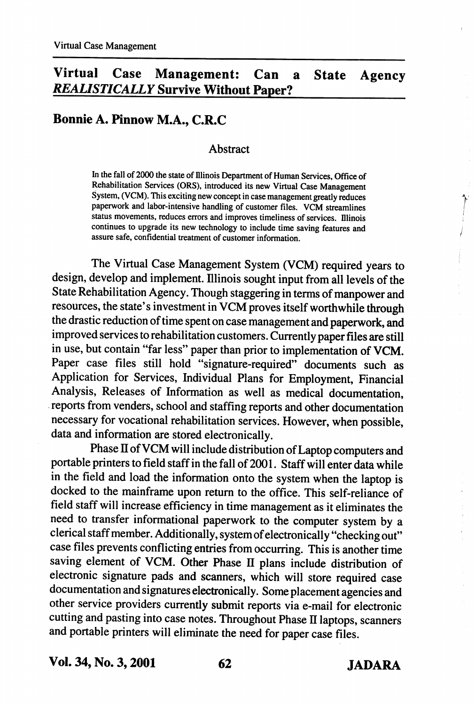# Virtual Case Management: Can a State Agency REALISTICALLY Survive Without Paper?

## Bonnie A. Pinnow M.A., C.R.C

#### Abstract

In the fall of 2000 the state of Illinois Department of Human Services, Office of Rehabilitation Services (ORS), introduced its new Virtual Case Management System, (VCM). This exciting new concept in case management greatly reduces paperwork and labor-intensive handling of customer files. VCM streamlines status movements, reduces errors and improves timeliness of services. Illinois continues to upgrade its new technology to include time saving features and assure safe, confidential treatment of customer information.

The Virtual Case Management System (VCM) required years to design, develop and implement. Illinois sought input from all levels of the State Rehabilitation Agency. Though staggering in terms of manpower and resources, the state's investment in VCM proves itself worthwhile through the drastic reduction of time spent on case management and paperwork, and improved services to rehabilitation customers. Currently paper files are still in use, but contain "far less" paper than prior to implementation of VCM. Paper case files still hold "signature-required" documents such as Application for Services, Individual Plans for Employment, Financial Analysis, Releases of Information as well as medical documentation, reports from venders, school and staffing reports and other documentation necessary for vocational rehabilitation services. However, when possible, data and information are stored electronically.

Phase II of VCM will include distribution of Laptop computers and portable printers to field staff in the fall of 2001. Staff will enter data while in the field and load the information onto the system when the laptop is docked to the mainframe upon return to the office. This self-reliance of field staff will increase efficiency in time management as it eliminates the need to transfer informational paperwork to the computer system by a clerical staff member. Additionally, system of electronically "checking out" case files prevents conflicting entries from occurring. This is another time saving element of VCM. Other Phase II plans include distribution of electronic signature pads and scanners, which will store required case documentation and signatures electronically. Some placement agencies and other service providers currentiy submit reports via e-mail for electronic cutting and pasting into case notes. Throughout Phase II laptops, scanners and portable printers will eliminate the need for paper case files.

Vol. 34, No. 3,2001 62 JADARA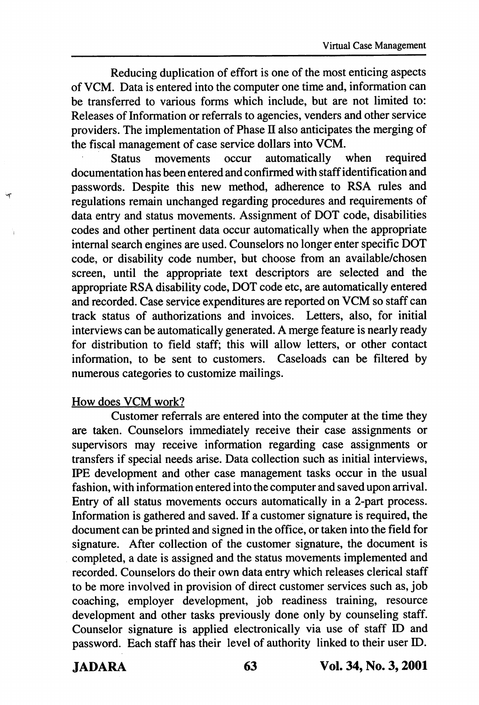Reducing duplication of effort is one of the most enticing aspects of VCM. Data is entered into the computer one time and, information can be transferred to various forms which include, but are not limited to: Releases of Information or referrals to agencies, venders and other service providers. The implementation of Phase  $II$  also anticipates the merging of the fiscal management of case service dollars into VCM.

Status movements occur automatically when required documentation has been entered and confirmed with staff identification and passwords. Despite this new method, adherence to RSA rules and regulations remain unchanged regarding procedures and requirements of data entry and status movements. Assignment of DOT code, disabilities codes and other pertinent data occur automatically when the appropriate internal search engines are used. Counselors no longer enter specific DOT code, or disability code number, but choose from an available/chosen screen, until the appropriate text descriptors are selected and the appropriate RSA disability code, DOT code etc, are automatically entered and recorded. Case service expenditures are reported on VCM so staff can track status of authorizations and invoices. Letters, also, for initial interviews can be automatically generated. A merge feature is nearly ready for distribution to field staff; this will allow letters, or other contact information, to be sent to customers. Caseloads can be filtered by numerous categories to customize mailings.

#### How does VCM work?

Customer referrals are entered into the computer at the time they are taken. Counselors immediately receive their case assignments or supervisors may receive information regarding case assignments or transfers if special needs arise. Data collection such as initial interviews, EPE development and other case management tasks occur in the usual fashion, with information entered into the computer and saved upon arrival. Entry of all status movements occurs automatically in a 2-part process. Information is gathered and saved. If a customer signature is required, the document can be printed and signed in the office, or taken into the field for signature. After collection of the customer signature, the document is completed, a date is assigned and the status movements implemented and recorded. Counselors do their own data entry which releases clerical staff to be more involved in provision of direct customer services such as, job coaching, employer development, job readiness training, resource development and other tasks previously done only by counseling staff. Counselor signature is applied electronically via use of staff ID and password. Each staff has their level of authority linked to their user ID.

JADARA 63 Vol. 34, No. 3,2001